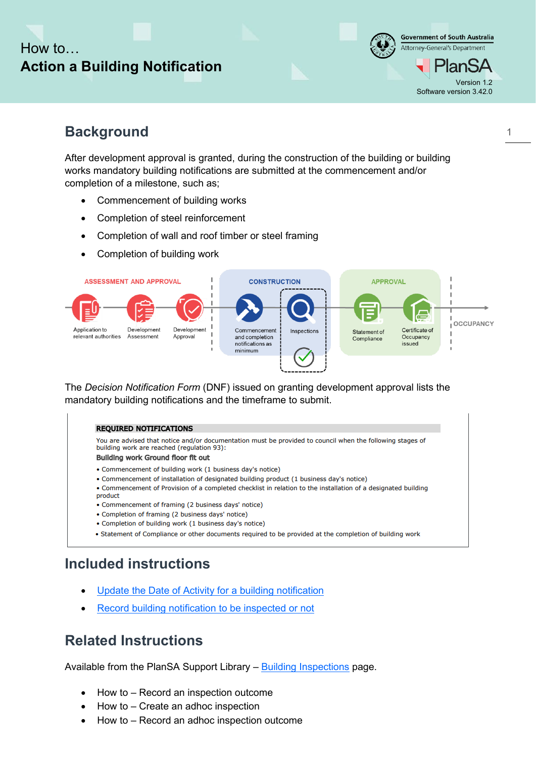# How to… **Action a Building Notification**



## **Background**

After development approval is granted, during the construction of the building or building works mandatory building notifications are submitted at the commencement and/or completion of a milestone, such as;

- Commencement of building works
- Completion of steel reinforcement
- Completion of wall and roof timber or steel framing
- Completion of building work



The *Decision Notification Form* (DNF) issued on granting development approval lists the mandatory building notifications and the timeframe to submit.

#### **REQUIRED NOTIFICATIONS**

You are advised that notice and/or documentation must be provided to council when the following stages of building work are reached (regulation 93):

Building work Ground floor fit out

- Commencement of building work (1 business day's notice)
- Commencement of installation of designated building product (1 business day's notice)
- Commencement of Provision of a completed checklist in relation to the installation of a designated building product
- Commencement of framing (2 business days' notice)
- Completion of framing (2 business days' notice)
- Completion of building work (1 business day's notice)
- Statement of Compliance or other documents required to be provided at the completion of building work

### **Included instructions**

- [Update the Date of Activity for a building notification](#page-2-0)
- [Record building notification to be inspected or not](#page-4-0)

### **Related Instructions**

Available from the PlanSA Support Library – [Building Inspections](https://plan.sa.gov.au/about/support_library/building_inspections) page.

- How to Record an inspection outcome
- How to Create an adhoc inspection
- How to Record an adhoc inspection outcome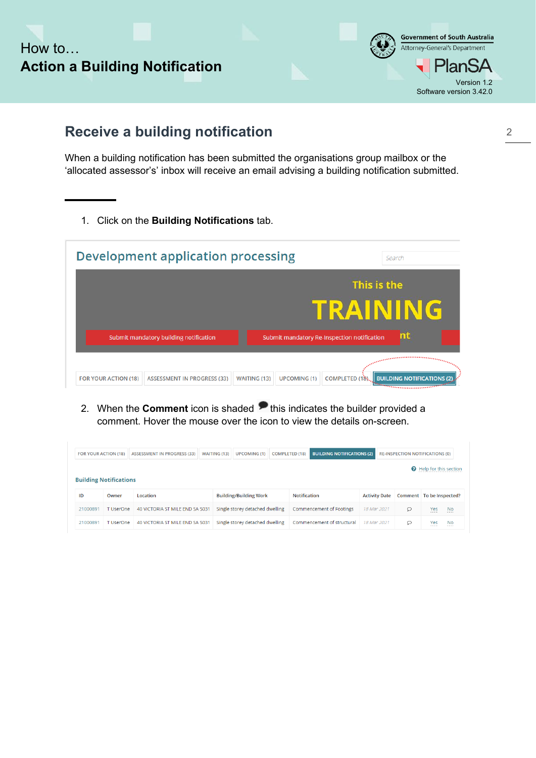



## **Receive a building notification**

When a building notification has been submitted the organisations group mailbox or the 'allocated assessor's' inbox will receive an email advising a building notification submitted.

1. Click on the **Building Notifications** tab.

|                             | <b>Development application processing</b> |                     |                     |                                             | Search                            |
|-----------------------------|-------------------------------------------|---------------------|---------------------|---------------------------------------------|-----------------------------------|
|                             |                                           |                     |                     | This is the                                 |                                   |
|                             |                                           |                     |                     | TRAINING                                    |                                   |
|                             | Submit mandatory building notification    |                     |                     | Submit mandatory Re-Inspection notification | nt                                |
|                             |                                           |                     |                     |                                             | <b>Continuous Communication</b>   |
| <b>FOR YOUR ACTION (18)</b> | <b>ASSESSMENT IN PROGRESS (33)</b>        | <b>WAITING (13)</b> | <b>UPCOMING (1)</b> | COMPLETED (18)                              | <b>BUILDING NOTIFICATIONS (2)</b> |

2. When the **Comment** icon is shaded **the shaded** a comment. Hover the mouse over the icon to view the details on-screen.

| <b>FOR YOUR ACTION (18)</b>   |                                | <b>ASSESSMENT IN PROGRESS (33)</b> | <b>BUILDING NOTIFICATIONS (2)</b><br><b>UPCOMING (1)</b><br><b>WAITING (13)</b><br><b>COMPLETED (18)</b> |                                 |              |                            |                      | <b>RE-INSPECTION NOTIFICATIONS (0)</b> |                               |           |
|-------------------------------|--------------------------------|------------------------------------|----------------------------------------------------------------------------------------------------------|---------------------------------|--------------|----------------------------|----------------------|----------------------------------------|-------------------------------|-----------|
|                               | <b>O</b> Help for this section |                                    |                                                                                                          |                                 |              |                            |                      |                                        |                               |           |
| <b>Building Notifications</b> |                                |                                    |                                                                                                          |                                 |              |                            |                      |                                        |                               |           |
| ID                            | Owner                          | Location                           |                                                                                                          | <b>Building/Building Work</b>   | Notification |                            | <b>Activity Date</b> | Comment To be Inspected?               |                               |           |
| 21000891                      | T UserOne                      | 40 VICTORIA ST MILE END SA 5031    |                                                                                                          | Single storey detached dwelling |              | Commencement of Footings   | 18 Mar 2021          | $\circ$                                | Yes<br>                       | <b>No</b> |
| 21000891                      | T UserOne                      | 40 VICTORIA ST MILE END SA 5031    |                                                                                                          | Single storey detached dwelling |              | Commencement of structural | 18 Mar 2021          | O                                      | Yes<br><b>BELLER ENGINEER</b> | <b>No</b> |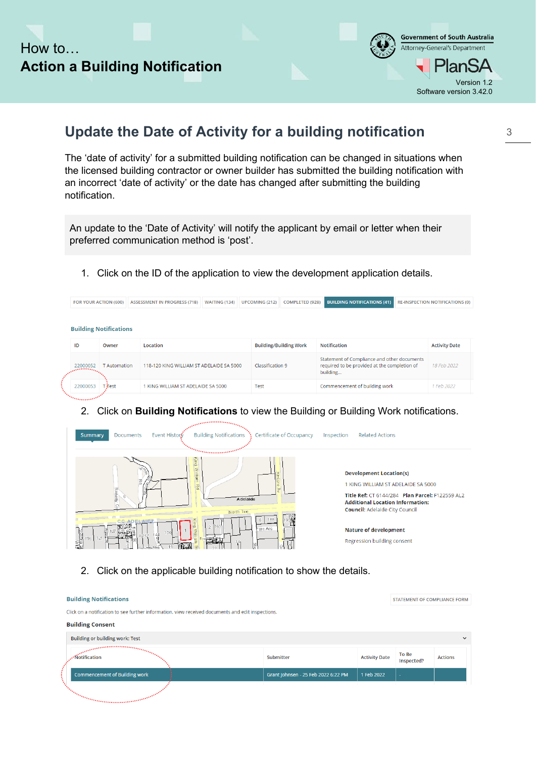



## <span id="page-2-0"></span>**Update the Date of Activity for a building notification**

The 'date of activity' for a submitted building notification can be changed in situations when the licensed building contractor or owner builder has submitted the building notification with an incorrect 'date of activity' or the date has changed after submitting the building notification.

An update to the 'Date of Activity' will notify the applicant by email or letter when their preferred communication method is 'post'.

1. Click on the ID of the application to view the development application details.

| FOR YOUR ACTION (600) |                               | <b>ASSESSMENT IN PROGRESS (718)</b>      | <b>WAITING (134)</b> | <b>UPCOMING (212)</b> | <b>COMPLETED (928)</b>        | <b>BUILDING NOTIFICATIONS (41)</b>                                                                      | <b>RE-INSPECTION NOTIFICATIONS (0)</b> |                      |
|-----------------------|-------------------------------|------------------------------------------|----------------------|-----------------------|-------------------------------|---------------------------------------------------------------------------------------------------------|----------------------------------------|----------------------|
|                       | <b>Building Notifications</b> |                                          |                      |                       |                               |                                                                                                         |                                        |                      |
| ID                    | Owner                         | Location                                 |                      |                       | <b>Building/Building Work</b> | <b>Notification</b>                                                                                     |                                        | <b>Activity Date</b> |
| 22000052              | <b>T</b> Automation           | 118-120 KING WILLIAM ST ADELAIDE SA 5000 |                      | Classification 9      |                               | Statement of Compliance and other documents<br>required to be provided at the completion of<br>building |                                        | 18 Feb 2022          |
| 22000053              | <b>Tifest</b>                 | 1 KING WILLIAM ST ADELAIDE SA 5000       |                      | <b>Test</b>           |                               | Commencement of building work                                                                           |                                        | 1 Feb 2022           |

#### 2. Click on **Building Notifications** to view the Building or Building Work notifications.



2. Click on the applicable building notification to show the details.

| <b>Building Notifications</b>                                                                                                                                                                                                              |                                     | <b>STATEMENT OF COMPLIANCE FORM</b> |                     |                |  |  |  |
|--------------------------------------------------------------------------------------------------------------------------------------------------------------------------------------------------------------------------------------------|-------------------------------------|-------------------------------------|---------------------|----------------|--|--|--|
| Click on a notification to see further information, view received documents and edit inspections.                                                                                                                                          |                                     |                                     |                     |                |  |  |  |
| <b>Building Consent</b>                                                                                                                                                                                                                    |                                     |                                     |                     |                |  |  |  |
| <b>Building or building work: Test</b>                                                                                                                                                                                                     |                                     |                                     |                     | $\checkmark$   |  |  |  |
| ,,,,,,,,,,,,,,,,,,,,,,,,<br>. Notification                                                                                                                                                                                                 | Submitter                           | <b>Activity Date</b>                | To Be<br>Inspected? | <b>Actions</b> |  |  |  |
| <b>Commencement of Building work</b>                                                                                                                                                                                                       | Grant Johnsen - 25 Feb 2022 6:22 PM | 1 Feb 2022                          | <b>100</b>          |                |  |  |  |
| <i><u>Programmation of the Community of the Community of the Community of the Community of the Community of the Community of the Community of the Community of the Community of the Community of the Community of the Community of</u></i> |                                     |                                     |                     |                |  |  |  |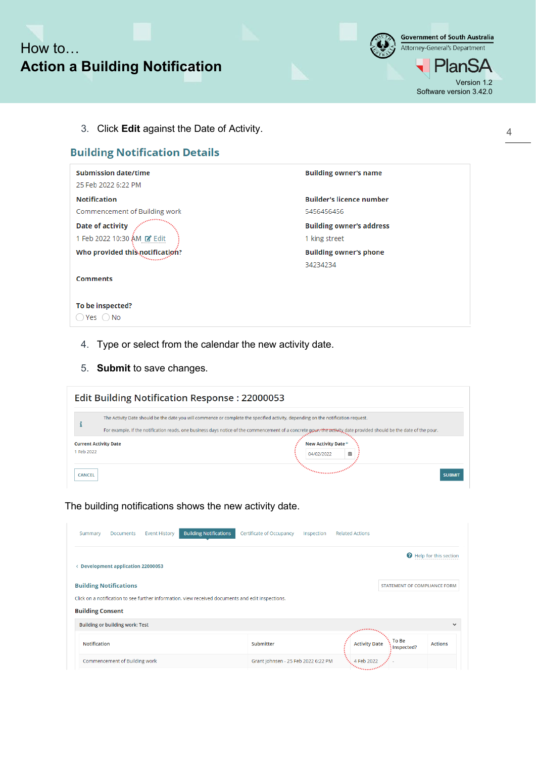



3. Click **Edit** against the Date of Activity.

### **Building Notification Details**

| <b>Submission date/time</b>     | <b>Building owner's name</b>    |
|---------------------------------|---------------------------------|
| 25 Feb 2022 6:22 PM             |                                 |
| <b>Notification</b>             | <b>Builder's licence number</b> |
| Commencement of Building work   | 5456456456                      |
| Date of activity                | <b>Building owner's address</b> |
| 1 Feb 2022 10:30 AM De Edit     | 1 king street                   |
| Who provided this notification? | <b>Building owner's phone</b>   |
|                                 | 34234234                        |
| <b>Comments</b>                 |                                 |
|                                 |                                 |
|                                 |                                 |
| To be inspected?                |                                 |

- 4. Type or select from the calendar the new activity date.
- 5. **Submit** to save changes.

|                                          | <b>Edit Building Notification Response: 22000053</b>                                                                                                                                                                                                                                                     |                                        |  |  |  |  |  |  |  |
|------------------------------------------|----------------------------------------------------------------------------------------------------------------------------------------------------------------------------------------------------------------------------------------------------------------------------------------------------------|----------------------------------------|--|--|--|--|--|--|--|
|                                          | The Activity Date should be the date you will commence or complete the specified activity, depending on the notification request.<br>For example, if the notification reads, one business days notice of the commencement of a concrete powe, the activity date provided should be the date of the pour. |                                        |  |  |  |  |  |  |  |
| <b>Current Activity Date</b><br>Feb 2022 |                                                                                                                                                                                                                                                                                                          | New Activity Date *<br>侖<br>04/02/2022 |  |  |  |  |  |  |  |
| <b>CANCEL</b>                            |                                                                                                                                                                                                                                                                                                          | Programment<br><b>SUBMIT</b>           |  |  |  |  |  |  |  |

The building notifications shows the new activity date.

| Summary                 | Documents                               | <b>Event History</b> | <b>Building Notifications</b>                                                                     | Certificate of Occupancy            | Inspection | <b>Related Actions</b> |                                     |                       |
|-------------------------|-----------------------------------------|----------------------|---------------------------------------------------------------------------------------------------|-------------------------------------|------------|------------------------|-------------------------------------|-----------------------|
| ≺                       | <b>Development application 22000053</b> |                      |                                                                                                   |                                     |            |                        |                                     | Help for this section |
|                         | <b>Building Notifications</b>           |                      |                                                                                                   |                                     |            |                        | <b>STATEMENT OF COMPLIANCE FORM</b> |                       |
| <b>Building Consent</b> |                                         |                      | Click on a notification to see further information, view received documents and edit inspections. |                                     |            |                        |                                     |                       |
|                         | <b>Building or building work: Test</b>  |                      |                                                                                                   |                                     |            |                        |                                     | $\checkmark$          |
| Notification            |                                         |                      |                                                                                                   | Submitter                           |            | <b>Activity Date</b>   | To Be<br>: Inspected?               | <b>Actions</b>        |
|                         | Commencement of Building work           |                      |                                                                                                   | Grant Johnsen - 25 Feb 2022 6:22 PM |            | 4 Feb 2022             |                                     |                       |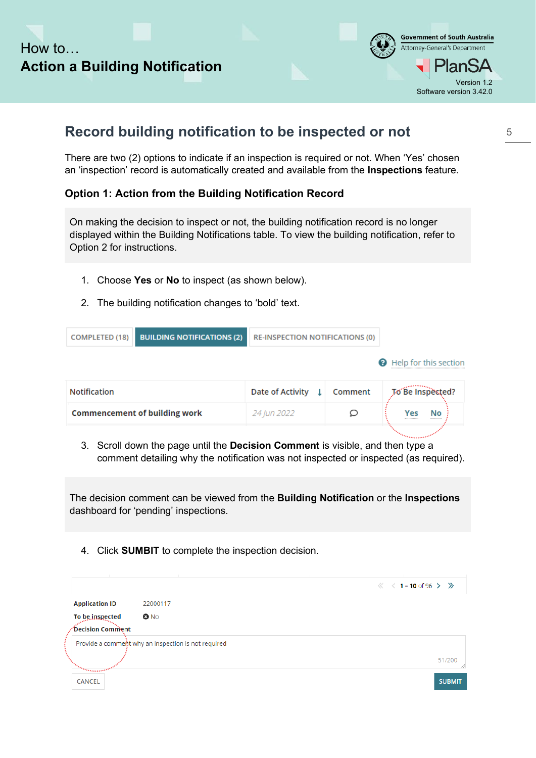

## <span id="page-4-0"></span>**Record building notification to be inspected or not**

There are two (2) options to indicate if an inspection is required or not. When 'Yes' chosen an 'inspection' record is automatically created and available from the **Inspections** feature.

### **Option 1: Action from the Building Notification Record**

On making the decision to inspect or not, the building notification record is no longer displayed within the Building Notifications table. To view the building notification, refer to Option 2 for instructions.

- 1. Choose **Yes** or **No** to inspect (as shown below).
- 2. The building notification changes to 'bold' text.

| <b>COMPLETED (18)</b>                | <b>BUILDING NOTIFICATIONS (2)</b> | <b>RE-INSPECTION NOTIFICATIONS (0)</b> |         |                                        |
|--------------------------------------|-----------------------------------|----------------------------------------|---------|----------------------------------------|
|                                      |                                   |                                        |         | Help for this section                  |
| Notification                         |                                   | Date of Activity<br>-11                | Comment | To Be Inspected?                       |
| <b>Commencement of building work</b> |                                   | 24 Jun 2022                            |         | No<br>Yes<br>------------<br>--------- |
|                                      |                                   |                                        |         |                                        |

3. Scroll down the page until the **Decision Comment** is visible, and then type a comment detailing why the notification was not inspected or inspected (as required).

The decision comment can be viewed from the **Building Notification** or the **Inspections** dashboard for 'pending' inspections.

4. Click **SUMBIT** to complete the inspection decision.

|                                  |                                                     | $\langle\langle 1 - 10 \text{ of } 96 \rangle \rangle$ |
|----------------------------------|-----------------------------------------------------|--------------------------------------------------------|
| <b>Application ID</b>            | 22000117                                            |                                                        |
| To be inspected                  | <b>O</b> No                                         |                                                        |
| $\epsilon$ Decision Comment .    |                                                     |                                                        |
|                                  | Provide a comment why an inspection is not required |                                                        |
| <b><i><u>Missourists</u></i></b> |                                                     | 51/200<br>4                                            |
| <b>CANCEL</b>                    |                                                     | <b>SUBMIT</b>                                          |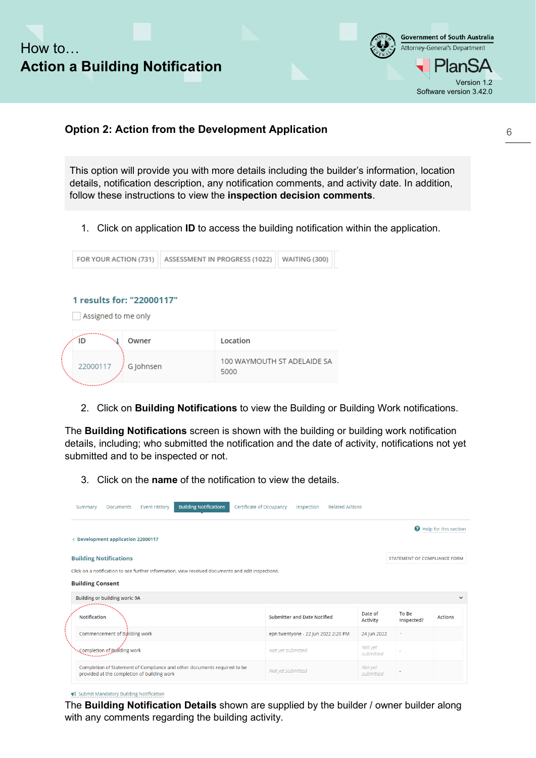

#### **Option 2: Action from the Development Application**

This option will provide you with more details including the builder's information, location details, notification description, any notification comments, and activity date. In addition, follow these instructions to view the **inspection decision comments**.

1. Click on application **ID** to access the building notification within the application.

| FOR YOUR ACTION (731)                            | <b>ASSESSMENT IN PROGRESS (1022)</b> | <b>WAITING (300)</b> |
|--------------------------------------------------|--------------------------------------|----------------------|
| 1 results for: "22000117"<br>Assigned to me only |                                      |                      |
| Owner<br>۵D                                      | Location                             |                      |
|                                                  | 100 WAYMOUTH ST ADELAIDE SA          |                      |

2. Click on **Building Notifications** to view the Building or Building Work notifications.

The **Building Notifications** screen is shown with the building or building work notification details, including; who submitted the notification and the date of activity, notifications not yet submitted and to be inspected or not.

3. Click on the **name** of the notification to view the details.

| Summary                                                                                                                                                                                              | <b>Documents</b>                            | <b>Event History</b> | <b>Building Notifications</b>                                            | Certificate of Occupancy |                                     | Inspection | <b>Related Actions</b> |                            |                     |                       |
|------------------------------------------------------------------------------------------------------------------------------------------------------------------------------------------------------|---------------------------------------------|----------------------|--------------------------------------------------------------------------|--------------------------|-------------------------------------|------------|------------------------|----------------------------|---------------------|-----------------------|
|                                                                                                                                                                                                      | < Development application 22000117          |                      |                                                                          |                          |                                     |            |                        |                            |                     | Help for this section |
| <b>Building Notifications</b><br><b>STATEMENT OF COMPLIANCE FORM</b><br>Click on a notification to see further information, view received documents and edit inspections.<br><b>Building Consent</b> |                                             |                      |                                                                          |                          |                                     |            |                        |                            |                     |                       |
|                                                                                                                                                                                                      | Building or building work: 9A               |                      |                                                                          |                          |                                     |            |                        |                            |                     | $\checkmark$          |
| <b>Notification</b>                                                                                                                                                                                  |                                             |                      |                                                                          |                          | <b>Submitter and Date Notified</b>  |            |                        | Date of<br><b>Activity</b> | To Be<br>Inspected? | <b>Actions</b>        |
|                                                                                                                                                                                                      | Commencement of Building work               |                      |                                                                          |                          | epn twentyone - 22 Jun 2022 2:20 PM |            |                        | 24 Jun 2022                |                     |                       |
|                                                                                                                                                                                                      |                                             |                      |                                                                          |                          | Not yet submitted                   |            |                        | Not yet<br>submitted       |                     |                       |
|                                                                                                                                                                                                      | provided at the completion of building work |                      | Completion of Statement of Compliance and other documents required to be |                          | Not yet submitted                   |            |                        | Not yet<br>submitted       |                     |                       |

₹ Submit Mandatory Building Notification

The **Building Notification Details** shown are supplied by the builder / owner builder along with any comments regarding the building activity.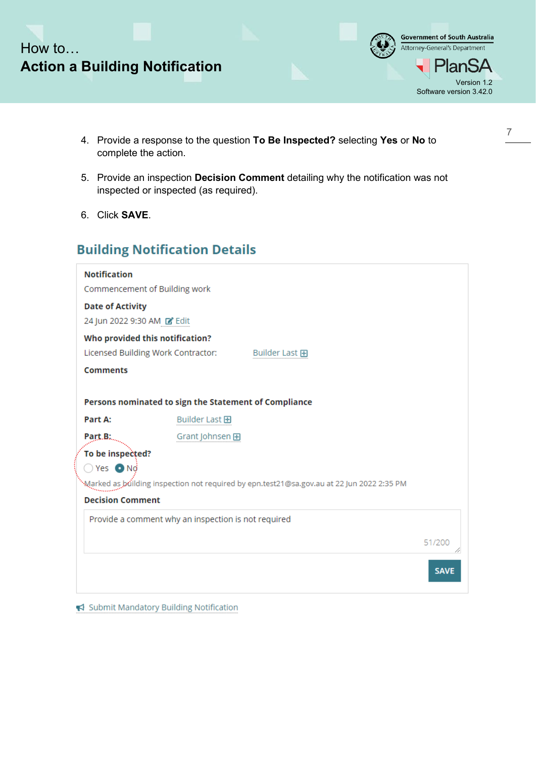



- 4. Provide a response to the question **To Be Inspected?** selecting **Yes** or **No** to complete the action.
- 5. Provide an inspection **Decision Comment** detailing why the notification was not inspected or inspected (as required).
- 6. Click **SAVE**.

### **Building Notification Details**

| <b>Notification</b>                                   |                 |                                                                                           |             |
|-------------------------------------------------------|-----------------|-------------------------------------------------------------------------------------------|-------------|
| Commencement of Building work                         |                 |                                                                                           |             |
| <b>Date of Activity</b>                               |                 |                                                                                           |             |
| 24 Jun 2022 9:30 AM Z Edit                            |                 |                                                                                           |             |
| Who provided this notification?                       |                 |                                                                                           |             |
| Licensed Building Work Contractor:                    |                 | Builder Last 田                                                                            |             |
| <b>Comments</b>                                       |                 |                                                                                           |             |
|                                                       |                 |                                                                                           |             |
| Persons nominated to sign the Statement of Compliance |                 |                                                                                           |             |
| Part A:                                               | Builder Last 田  |                                                                                           |             |
| Part.B:                                               | Grant Johnsen 田 |                                                                                           |             |
| To be inspected?                                      |                 |                                                                                           |             |
| $\bigcirc$ Yes $\bigcirc$ Nd                          |                 |                                                                                           |             |
|                                                       |                 | Marked as building inspection not required by epn.test21@sa.gov.au at 22 Jun 2022 2:35 PM |             |
| <b>Decision Comment</b>                               |                 |                                                                                           |             |
| Provide a comment why an inspection is not required   |                 |                                                                                           |             |
|                                                       |                 |                                                                                           |             |
|                                                       |                 |                                                                                           | 51/200      |
|                                                       |                 |                                                                                           | <b>SAVE</b> |
|                                                       |                 |                                                                                           |             |

Submit Mandatory Building Notification